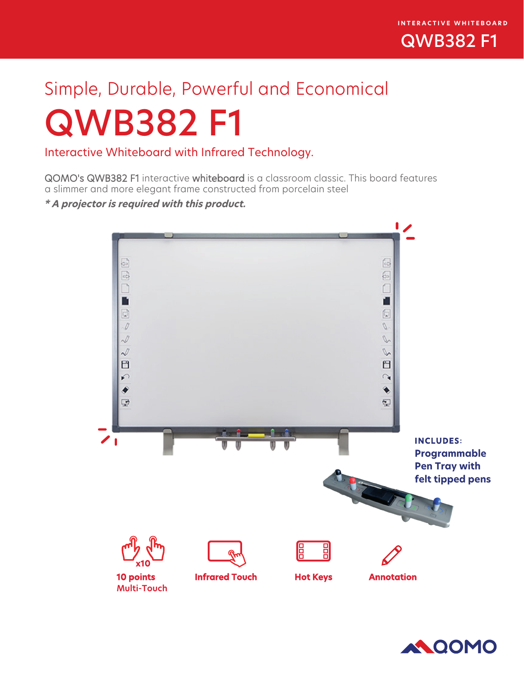

# Simple, Durable, Powerful and Economical QWB382 F1

Interactive Whiteboard with Infrared Technology.

QOMO's QWB382 F1 interactive whiteboard is a classroom classic. This board features a slimmer and more elegant frame constructed from porcelain steel

**\* A projector is required with this product.**